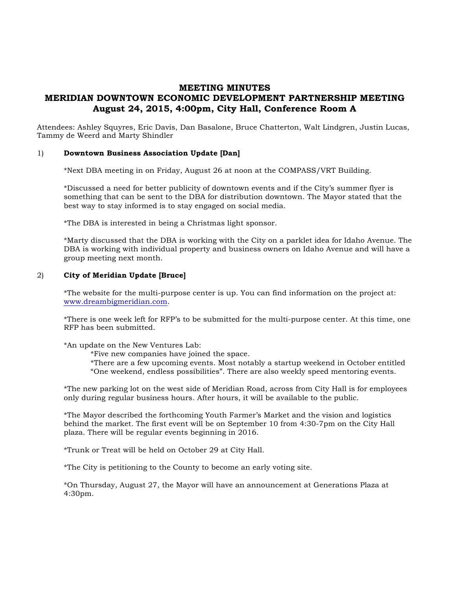# **MEETING MINUTES MERIDIAN DOWNTOWN ECONOMIC DEVELOPMENT PARTNERSHIP MEETING August 24, 2015, 4:00pm, City Hall, Conference Room A**

Attendees: Ashley Squyres, Eric Davis, Dan Basalone, Bruce Chatterton, Walt Lindgren, Justin Lucas, Tammy de Weerd and Marty Shindler

#### 1) **Downtown Business Association Update [Dan]**

\*Next DBA meeting in on Friday, August 26 at noon at the COMPASS/VRT Building.

\*Discussed a need for better publicity of downtown events and if the City's summer flyer is something that can be sent to the DBA for distribution downtown. The Mayor stated that the best way to stay informed is to stay engaged on social media.

\*The DBA is interested in being a Christmas light sponsor.

\*Marty discussed that the DBA is working with the City on a parklet idea for Idaho Avenue. The DBA is working with individual property and business owners on Idaho Avenue and will have a group meeting next month.

#### 2) **City of Meridian Update [Bruce]**

\*The website for the multi-purpose center is up. You can find information on the project at: www.dreambigmeridian.com.

\*There is one week left for RFP's to be submitted for the multi-purpose center. At this time, one RFP has been submitted.

\*An update on the New Ventures Lab:

\*Five new companies have joined the space.

\*There are a few upcoming events. Most notably a startup weekend in October entitled "One weekend, endless possibilities". There are also weekly speed mentoring events.

\*The new parking lot on the west side of Meridian Road, across from City Hall is for employees only during regular business hours. After hours, it will be available to the public.

\*The Mayor described the forthcoming Youth Farmer's Market and the vision and logistics behind the market. The first event will be on September 10 from 4:30-7pm on the City Hall plaza. There will be regular events beginning in 2016.

\*Trunk or Treat will be held on October 29 at City Hall.

\*The City is petitioning to the County to become an early voting site.

\*On Thursday, August 27, the Mayor will have an announcement at Generations Plaza at 4:30pm.